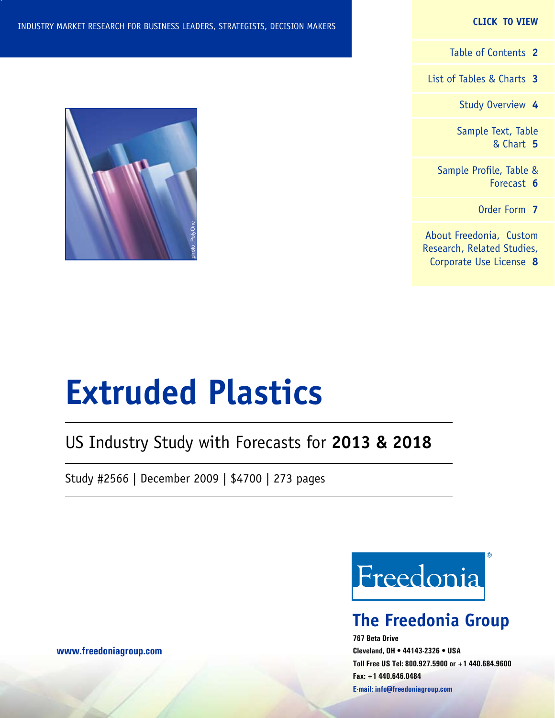#### **CLICK TO VIEW**

[Table of Contents](#page-1-0) **2**

[List of Tables & Charts](#page-2-0) **3**

[Study Overview](#page-3-0) **4**

[Sample Text, Table](#page-4-0) [& Chart](#page-4-0) **5**

[Sample Profile, Table &](#page-5-0) [Forecast](#page-5-0) **6**

[Order Form](#page-6-0) **7**

[About Freedonia, Custom](#page-7-0) [Research, Related Studies,](#page-7-0) [Corporate Use License](#page-7-0) **8**



# **Extruded Plastics**

# US Industry Study with Forecasts for **2013 & 2018**

Study #2566 | December 2009 | \$4700 | 273 pages



# **The Freedonia Group**

**767 Beta Drive Cleveland, OH • 44143-2326 • USA Toll Free US Tel: 800.927.5900 or +1 440.684.9600 Fax: +1 440.646.0484 E-mail: [info@freedoniagroup.com](mailto:info@freedoniagroup.com)**

**[www.freedoniagroup.com](http://www.freedoniagroup.com/Home.aspx?ReferrerId=FM-Bro)**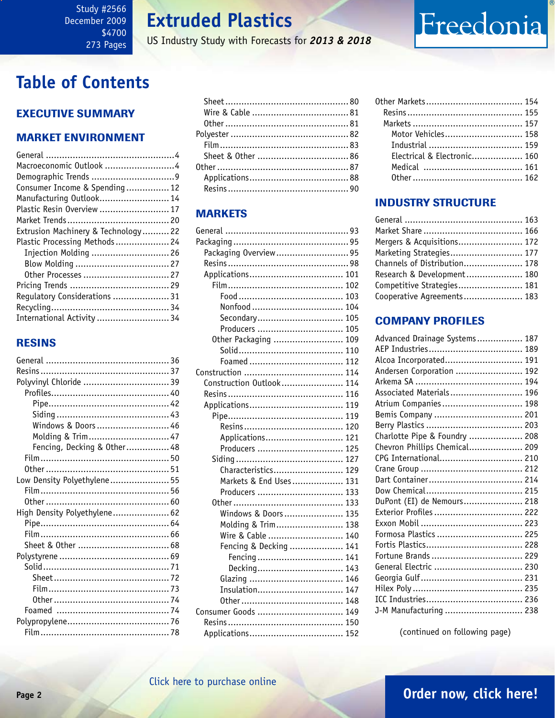US Industry Study with Forecasts for *2013 & 2018*

# <span id="page-1-0"></span>**Table of Contents**

### Executive Summary

### Market EnvironmenT

| Macroeconomic Outlook 4             |  |
|-------------------------------------|--|
|                                     |  |
| Consumer Income & Spending 12       |  |
| Manufacturing Outlook 14            |  |
| Plastic Resin Overview  17          |  |
|                                     |  |
| Extrusion Machinery & Technology 22 |  |
| Plastic Processing Methods 24       |  |
| Injection Molding  26               |  |
|                                     |  |
|                                     |  |
|                                     |  |
| Regulatory Considerations  31       |  |
|                                     |  |
| International Activity  34          |  |

### RESINS

| Polyvinyl Chloride  39       |  |
|------------------------------|--|
|                              |  |
|                              |  |
|                              |  |
| Windows & Doors  46          |  |
| Molding & Trim 47            |  |
| Fencing, Decking & Other 48  |  |
|                              |  |
|                              |  |
| Low Density Polyethylene 55  |  |
|                              |  |
|                              |  |
| High Density Polyethylene 62 |  |
|                              |  |
|                              |  |
|                              |  |
|                              |  |
|                              |  |
|                              |  |
|                              |  |
|                              |  |
|                              |  |
|                              |  |
|                              |  |
|                              |  |

### **MARKETS**

| Packaging Overview 95    |     |
|--------------------------|-----|
|                          |     |
|                          |     |
|                          |     |
|                          |     |
|                          |     |
| Secondary 105            |     |
| Producers  105           |     |
| Other Packaging  109     |     |
|                          |     |
|                          |     |
|                          |     |
| Construction Outlook 114 |     |
|                          |     |
|                          |     |
|                          |     |
|                          | 120 |
| Applications             | 121 |
| Producers                | 125 |
|                          | 127 |
| Characteristics          | 129 |
| Markets & End Uses 131   |     |
| Producers  133           |     |
|                          |     |
| Windows & Doors 135      |     |
| Molding & Trim 138       |     |
| Wire & Cable  140        |     |
| Fencing & Decking  141   |     |
| Fencing 141              |     |
| Decking 143              |     |
|                          |     |
| Insulation 147           |     |
|                          |     |
| Consumer Goods  149      |     |
|                          |     |
|                          |     |

| Motor Vehicles 158          |  |
|-----------------------------|--|
|                             |  |
| Electrical & Electronic 160 |  |
|                             |  |
|                             |  |

Freedonia

### INDUSTRY STRUCTURE

| Mergers & Acquisitions 172   |  |
|------------------------------|--|
| Marketing Strategies 177     |  |
| Channels of Distribution 178 |  |
| Research & Development 180   |  |
| Competitive Strategies 181   |  |
| Cooperative Agreements 183   |  |

### Company Profiles

| Advanced Drainage Systems 187 |
|-------------------------------|
|                               |
| Alcoa Incorporated 191        |
| Andersen Corporation  192     |
|                               |
| Associated Materials 196      |
| Atrium Companies 198          |
| Bemis Company  201            |
|                               |
| Charlotte Pipe & Foundry  208 |
| Chevron Phillips Chemical 209 |
| CPG International 210         |
|                               |
|                               |
|                               |
| DuPont (EI) de Nemours 218    |
| Exterior Profiles  222        |
|                               |
| Formosa Plastics  225         |
|                               |
| Fortune Brands  229           |
| General Electric  230         |
|                               |
|                               |
|                               |
| J-M Manufacturing  238        |

(continued on following page)

# **Page 2 [Order now, click here!](#page-6-0)**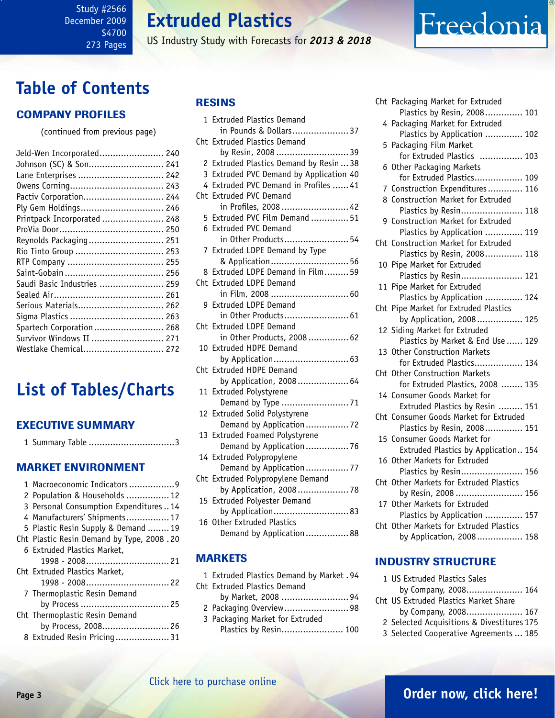<span id="page-2-0"></span>Study #2566 December 2009 \$4700 273 Pages

# **Extruded Plastics**

US Industry Study with Forecasts for *2013 & 2018*

# **Table of Contents**

### Company Profiles

(continued from previous page)

| Jeld-Wen Incorporated 240   |  |
|-----------------------------|--|
| Johnson (SC) & Son 241      |  |
| Lane Enterprises  242       |  |
|                             |  |
| Pactiv Corporation 244      |  |
| Ply Gem Holdings 246        |  |
| Printpack Incorporated  248 |  |
|                             |  |
| Reynolds Packaging 251      |  |
| Rio Tinto Group  253        |  |
|                             |  |
|                             |  |
| Saudi Basic Industries  259 |  |
|                             |  |
| Serious Materials 262       |  |
|                             |  |
| Spartech Corporation  268   |  |
| Survivor Windows II  271    |  |
| Westlake Chemical 272       |  |
|                             |  |

# **List of Tables/Charts**

### Executive Summary

|  | 1 Summary Table 3 |
|--|-------------------|
|  |                   |

#### Market EnvironmenT

| 1 Macroeconomic Indicators9               |
|-------------------------------------------|
| 2 Population & Households  12             |
| 3 Personal Consumption Expenditures14     |
| 4 Manufacturers' Shipments 17             |
| 5 Plastic Resin Supply & Demand  19       |
| Cht Plastic Resin Demand by Type, 2008.20 |
| 6 Extruded Plastics Market,               |
|                                           |
| Cht Extruded Plastics Market,             |
|                                           |
| 7 Thermoplastic Resin Demand              |
| by Process  25                            |
| Cht Thermoplastic Resin Demand            |
| by Process, 2008 26                       |
| 8 Extruded Resin Pricing31                |

### RESINS

| 1               | <b>Extruded Plastics Demand</b>                           |
|-----------------|-----------------------------------------------------------|
| Cht             | in Pounds & Dollars 37<br><b>Extruded Plastics Demand</b> |
|                 | by Resin, 2008  39                                        |
| 2               | Extruded Plastics Demand by Resin  38                     |
| 3               | Extruded PVC Demand by Application 40                     |
| 4               | Extruded PVC Demand in Profiles  41                       |
| Cht             | <b>Extruded PVC Demand</b>                                |
|                 | in Profiles, 2008  42                                     |
| 5               | Extruded PVC Film Demand  51                              |
| 6.              | <b>Extruded PVC Demand</b>                                |
|                 | in Other Products 54                                      |
| 7               | Extruded LDPE Demand by Type                              |
|                 | & Application 56                                          |
| 8               | Extruded LDPE Demand in Film 59                           |
| Cht             | <b>Extruded LDPE Demand</b>                               |
|                 | in Film, 2008  60                                         |
| 9               | <b>Extruded LDPE Demand</b>                               |
|                 | in Other Products 61                                      |
| Cht             | <b>Extruded LDPE Demand</b>                               |
|                 | in Other Products, 2008 62                                |
| 10              | <b>Extruded HDPE Demand</b>                               |
|                 |                                                           |
| Cht             | <b>Extruded HDPE Demand</b>                               |
|                 | by Application, 2008 64                                   |
| 11              | Extruded Polystyrene                                      |
|                 | Demand by Type 71                                         |
| 12              | Extruded Solid Polystyrene                                |
|                 | Demand by Application  72                                 |
| 13              | Extruded Foamed Polystyrene                               |
|                 | Demand by Application  76                                 |
|                 | 14 Extruded Polypropylene                                 |
|                 | Demand by Application  77                                 |
| Cht             | Extruded Polypropylene Demand                             |
|                 | by Application, 2008 78                                   |
| 15 <sup>1</sup> | Extruded Polyester Demand                                 |
|                 | by Application 83                                         |
| 16              | <b>Other Extruded Plastics</b>                            |
|                 | Demand by Application  88                                 |
|                 |                                                           |

### **MARKETS**

| 1 Extruded Plastics Demand by Market. 94 |  |
|------------------------------------------|--|
| Cht Extruded Plastics Demand             |  |
| by Market, 2008 94                       |  |
| 2 Packaging Overview 98                  |  |
| 3 Packaging Market for Extruded          |  |

Plastics by Resin....................... 100

|    | Cht Packaging Market for Extruded       |
|----|-----------------------------------------|
|    | Plastics by Resin, 2008 101             |
|    | 4 Packaging Market for Extruded         |
|    | Plastics by Application  102            |
| 5  | Packaging Film Market                   |
|    | for Extruded Plastics  103              |
|    | 6 Other Packaging Markets               |
|    | for Extruded Plastics 109               |
|    | 7 Construction Expenditures 116         |
|    | 8 Construction Market for Extruded      |
|    | Plastics by Resin 118                   |
|    | 9 Construction Market for Extruded      |
|    | Plastics by Application  119            |
|    | Cht Construction Market for Extruded    |
|    | Plastics by Resin, 2008 118             |
| 10 | Pipe Market for Extruded                |
|    | Plastics by Resin 121                   |
|    | 11 Pipe Market for Extruded             |
|    | Plastics by Application  124            |
|    | Cht Pipe Market for Extruded Plastics   |
|    | by Application, 2008 125                |
|    | 12 Siding Market for Extruded           |
|    | Plastics by Market & End Use  129       |
|    | 13 Other Construction Markets           |
|    | for Extruded Plastics 134               |
|    | Cht Other Construction Markets          |
|    | for Extruded Plastics, 2008  135        |
|    | 14 Consumer Goods Market for            |
|    | Extruded Plastics by Resin  151         |
|    | Cht Consumer Goods Market for Extruded  |
|    | Plastics by Resin, 2008 151             |
|    | 15 Consumer Goods Market for            |
|    | Extruded Plastics by Application 154    |
|    | 16 Other Markets for Extruded           |
|    | Plastics by Resin 156                   |
|    | Cht Other Markets for Extruded Plastics |
|    | by Resin, 2008  156                     |
|    | 17 Other Markets for Extruded           |
|    | Plastics by Application  157            |
|    | Cht Other Markets for Extruded Plastics |

Freedonia

#### by Application, 2008................. 158

#### INDUSTRY STRUCTURE

| 1 US Extruded Plastics Sales               |  |
|--------------------------------------------|--|
| by Company, 2008 164                       |  |
| Cht US Extruded Plastics Market Share      |  |
| by Company, 2008 167                       |  |
| 2 Selected Acquisitions & Divestitures 175 |  |
| 3 Selected Cooperative Agreements  185     |  |
|                                            |  |

# **Page 3 [Order now, click here!](#page-6-0)**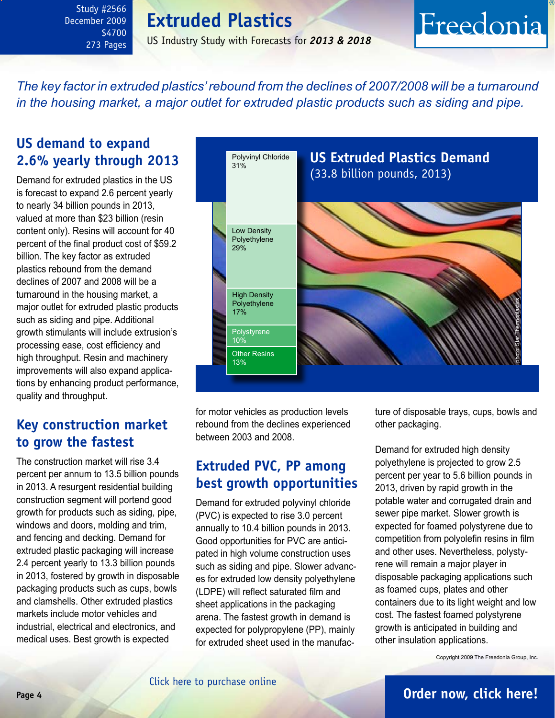<span id="page-3-0"></span>Study #2566 December 2009 \$4700 273 Pages

### US Industry Study with Forecasts for *2013 & 2018*

*The key factor in extruded plastics' rebound from the declines of 2007/2008 will be a turnaround in the housing market, a major outlet for extruded plastic products such as siding and pipe.* 

# **US demand to expand 2.6% yearly through 2013**

Demand for extruded plastics in the US is forecast to expand 2.6 percent yearly to nearly 34 billion pounds in 2013, valued at more than \$23 billion (resin content only). Resins will account for 40 percent of the final product cost of \$59.2 billion. The key factor as extruded plastics rebound from the demand declines of 2007 and 2008 will be a turnaround in the housing market, a major outlet for extruded plastic products such as siding and pipe. Additional growth stimulants will include extrusion's processing ease, cost efficiency and high throughput. Resin and machinery improvements will also expand applications by enhancing product performance, quality and throughput.

## **Key construction market to grow the fastest**

The construction market will rise 3.4 percent per annum to 13.5 billion pounds in 2013. A resurgent residential building construction segment will portend good growth for products such as siding, pipe, windows and doors, molding and trim, and fencing and decking. Demand for extruded plastic packaging will increase 2.4 percent yearly to 13.3 billion pounds in 2013, fostered by growth in disposable packaging products such as cups, bowls and clamshells. Other extruded plastics markets include motor vehicles and industrial, electrical and electronics, and medical uses. Best growth is expected



for motor vehicles as production levels rebound from the declines experienced between 2003 and 2008.

# **Extruded PVC, PP among best growth opportunities**

Demand for extruded polyvinyl chloride (PVC) is expected to rise 3.0 percent annually to 10.4 billion pounds in 2013. Good opportunities for PVC are anticipated in high volume construction uses such as siding and pipe. Slower advances for extruded low density polyethylene (LDPE) will reflect saturated film and sheet applications in the packaging arena. The fastest growth in demand is expected for polypropylene (PP), mainly for extruded sheet used in the manufac-

ture of disposable trays, cups, bowls and other packaging.

Freedonia

Demand for extruded high density polyethylene is projected to grow 2.5 percent per year to 5.6 billion pounds in 2013, driven by rapid growth in the potable water and corrugated drain and sewer pipe market. Slower growth is expected for foamed polystyrene due to competition from polyolefin resins in film and other uses. Nevertheless, polystyrene will remain a major player in disposable packaging applications such as foamed cups, plates and other containers due to its light weight and low cost. The fastest foamed polystyrene growth is anticipated in building and other insulation applications.

Copyright 2009 The Freedonia Group, Inc.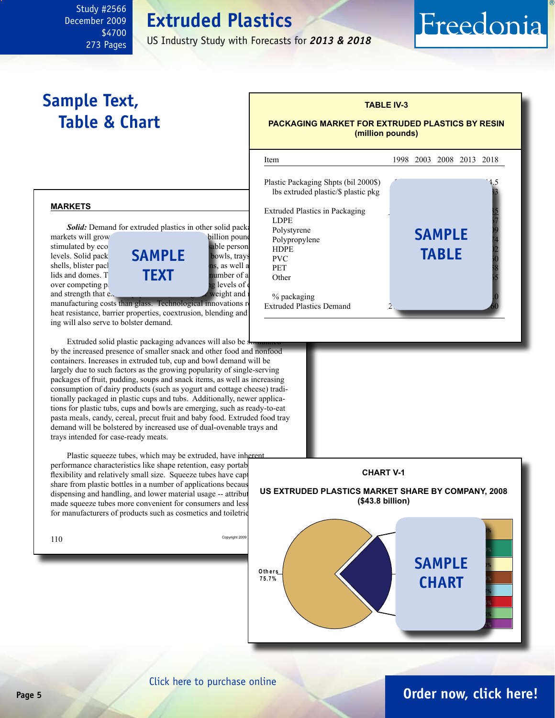US Industry Study with Forecasts for *2013 & 2018*

# **Sample Text, Table & Chart**

<span id="page-4-0"></span>Study #2566 December 2009

> \$4700 273 Pages

### **TABLE IV-3 PACKAGING MARKET FOR EXTRUDED PLASTICS BY RESIN (million pounds)**

Freedonia

#### **markets**

**Solid:** Demand for extruded plastics in other solid pack

and strength that  $e_{\lambda}$ 



manufacturing costs than glass. Technological innovations relations heat resistance, barrier properties, coextrusion, blending and ing will also serve to bolster demand.

Extruded solid plastic packaging advances will also be  $\frac{1}{2}$ by the increased presence of smaller snack and other food and nonfood containers. Increases in extruded tub, cup and bowl demand will be largely due to such factors as the growing popularity of single-serving packages of fruit, pudding, soups and snack items, as well as increasing consumption of dairy products (such as yogurt and cottage cheese) traditionally packaged in plastic cups and tubs. Additionally, newer applications for plastic tubs, cups and bowls are emerging, such as ready-to-eat pasta meals, candy, cereal, precut fruit and baby food. Extruded food tray demand will be bolstered by increased use of dual-ovenable trays and trays intended for case-ready meats.

Plastic squeeze tubes, which may be extruded, have inherent performance characteristics like shape retention, easy portab flexibility and relatively small size. Squeeze tubes have captured materials. share from plastic bottles in a number of applications becaus dispensing and handling, and lower material usage -- attributes made squeeze tubes more convenient for consumers and less for manufacturers of products such as cosmetics and toiletrie

| 110 | Copyright 2009 |  |
|-----|----------------|--|
|     |                |  |





# [Click here to purchase online](http://www.freedoniagroup.com/DocumentDetails.aspx?Referrerid=FM-Bro&StudyID=2566)

## **Page 5 [Order now, click here!](#page-6-0)**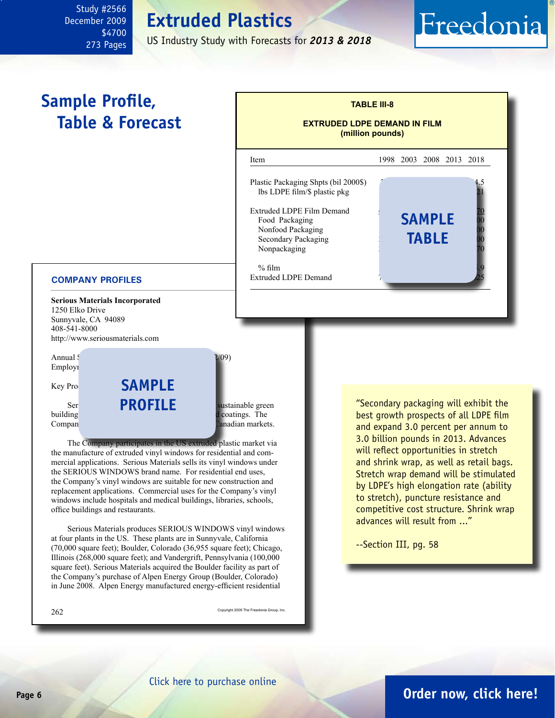US Industry Study with Forecasts for *2013 & 2018*

# **Sample Profile, Table & Forecast**

<span id="page-5-0"></span>Study #2566 December 2009

> \$4700 273 Pages

### **TABLE III-8 EXTRUDED LDPE DEMAND IN FILM (million pounds)** l Item 1998 2003 2008 2013 2018 Plastic Packaging Shpts (bil 2000\$). lbs LDPE film/ $$$  plastic pkg Extruded LDPE Film Demand Food Packaging **5AMPLE** 20 Nonfood Packaging Secondary Packaging Nonpackaging % film  $\sim$  85.8  $\mu$ Extruded LDPE Demand **table**

#### **COMPANY PROFILES**

**Serious Materials Incorporated** 1250 Elko Drive Sunnyvale, CA 94089 408-541-8000 http://www.seriousmaterials.com



The Company participates in the US extruded plastic market via the manufacture of extruded vinyl windows for residential and commercial applications. Serious Materials sells its vinyl windows under the SERIOUS WINDOWS brand name. For residential end uses, the Company's vinyl windows are suitable for new construction and replacement applications. Commercial uses for the Company's vinyl windows include hospitals and medical buildings, libraries, schools, office buildings and restaurants.

Serious Materials produces SERIOUS WINDOWS vinyl windows at four plants in the US. These plants are in Sunnyvale, California (70,000 square feet); Boulder, Colorado (36,955 square feet); Chicago, Illinois (268,000 square feet); and Vandergrift, Pennsylvania (100,000 square feet). Serious Materials acquired the Boulder facility as part of the Company's purchase of Alpen Energy Group (Boulder, Colorado) in June 2008. Alpen Energy manufactured energy-efficient residential

 $262\,$  Copyright 2009 The Freedonia Group, Inc.

"Secondary packaging will exhibit the best growth prospects of all LDPE film and expand 3.0 percent per annum to 3.0 billion pounds in 2013. Advances will reflect opportunities in stretch and shrink wrap, as well as retail bags. Stretch wrap demand will be stimulated by LDPE's high elongation rate (ability to stretch), puncture resistance and competitive cost structure. Shrink wrap advances will result from ..."

Freedonia

--Section III, pg. 58

# **Page 6 [Order now, click here!](#page-6-0)**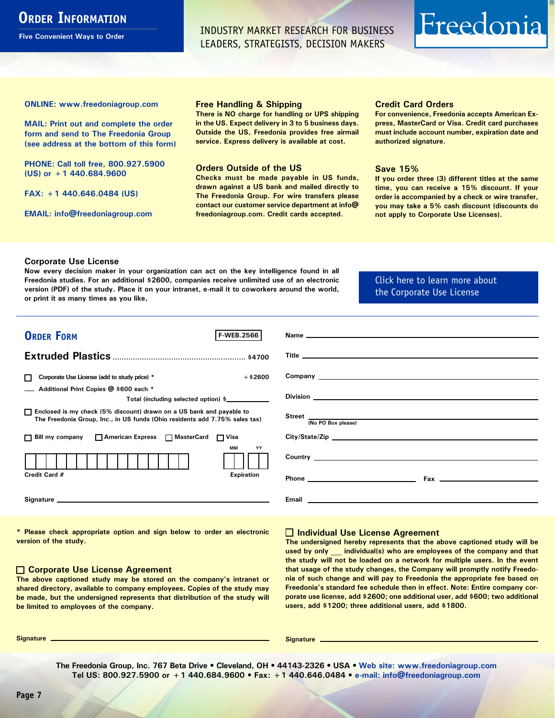# <span id="page-6-0"></span>**ORDER INFORMATION**

**Five Convenient Ways to Order**

INDUSTRY MARKET RESEARCH FOR BUSINESS LEADERS, STRATEGISTS, DECISION MAKERS

# Freedonia

**ONLINE: [www.freedoniagroup.com](http://www.freedoniagroup.com/DocumentDetails.aspx?Referrerid=FM-Bro&StudyID=2566)**

**MAIL: Print out and complete the order form and send to The Freedonia Group (see address at the bottom of this form)**

**PHONE: Call toll free, 800.927.5900 (US) or +1 440.684.9600**

**FAX: +1 440.646.0484 (US)**

**EMAIL: [info@freedoniagroup.com](mailto:info@freedoniagroup.com)**

#### **Free Handling & Shipping**

**There is NO charge for handling or UPS shipping in the US. Expect delivery in 3 to 5 business days. Outside the US, Freedonia provides free airmail service. Express delivery is available at cost.**

#### **Orders Outside of the US**

**Checks must be made payable in US funds, drawn against a US bank and mailed directly to The Freedonia Group. For wire transfers please contact our customer service department at info@ freedoniagroup.com. Credit cards accepted.**

#### **Credit Card Orders**

**For convenience, Freedonia accepts American Express, MasterCard or Visa. Credit card purchases must include account number, expiration date and authorized signature.**

#### **Save 15%**

**If you order three (3) different titles at the same time, you can receive a 15% discount. If your order is accompanied by a check or wire transfer, you may take a 5% cash discount (discounts do not apply to Corporate Use Licenses).**

#### **Corporate Use License**

**Now every decision maker in your organization can act on the key intelligence found in all Freedonia studies. For an additional \$2600, companies receive unlimited use of an electronic version (PDF) of the study. Place it on your intranet, e-mail it to coworkers around the world, or print it as many times as you like,** 

#### [Click here to learn more about](http://www.freedoniagroup.com/pdf/FreedoniaCULBro.pdf)  [the Corporate Use License](http://www.freedoniagroup.com/pdf/FreedoniaCULBro.pdf)

| <b>ORDER FORM</b><br><b>F-WEB.2566</b>                                                                                                                                                                                         |                                                                                                                                                                                                                                     |
|--------------------------------------------------------------------------------------------------------------------------------------------------------------------------------------------------------------------------------|-------------------------------------------------------------------------------------------------------------------------------------------------------------------------------------------------------------------------------------|
|                                                                                                                                                                                                                                |                                                                                                                                                                                                                                     |
|                                                                                                                                                                                                                                |                                                                                                                                                                                                                                     |
|                                                                                                                                                                                                                                |                                                                                                                                                                                                                                     |
| $+$ \$2600<br>Corporate Use License (add to study price) *                                                                                                                                                                     |                                                                                                                                                                                                                                     |
| Additional Print Copies @ \$600 each *                                                                                                                                                                                         |                                                                                                                                                                                                                                     |
| Total (including selected option) \$                                                                                                                                                                                           |                                                                                                                                                                                                                                     |
| □ Enclosed is my check (5% discount) drawn on a US bank and payable to<br>The Freedonia Group, Inc., in US funds (Ohio residents add 7.75% sales tax)                                                                          | Street <u>(No PO Box please)</u>                                                                                                                                                                                                    |
|                                                                                                                                                                                                                                |                                                                                                                                                                                                                                     |
| □ Bill my company □ American Express □ MasterCard □ Visa                                                                                                                                                                       |                                                                                                                                                                                                                                     |
| MМ<br>YY                                                                                                                                                                                                                       | Country <u>example</u> and the control of the control of the control of the control of the control of the control of the control of the control of the control of the control of the control of the control of the control of the c |
| <b>Expiration</b><br>Credit Card #                                                                                                                                                                                             |                                                                                                                                                                                                                                     |
| Signature experience and the state of the state of the state of the state of the state of the state of the state of the state of the state of the state of the state of the state of the state of the state of the state of th |                                                                                                                                                                                                                                     |

**\* Please check appropriate option and sign below to order an electronic version of the study.**

#### **Corporate Use License Agreement**

**The above captioned study may be stored on the company's intranet or shared directory, available to company employees. Copies of the study may be made, but the undersigned represents that distribution of the study will be limited to employees of the company.**

#### **Individual Use License Agreement**

**The undersigned hereby represents that the above captioned study will be used by only \_\_\_ individual(s) who are employees of the company and that the study will not be loaded on a network for multiple users. In the event that usage of the study changes, the Company will promptly notify Freedonia of such change and will pay to Freedonia the appropriate fee based on Freedonia's standard fee schedule then in effect. Note: Entire company corporate use license, add \$2600; one additional user, add \$600; two additional users, add \$1200; three additional users, add \$1800.**

**Signature Signature**

**The Freedonia Group, Inc. 767 Beta Drive • Cleveland, OH • 44143-2326 • USA • [Web site: www.freedoniagroup.com](http://www.freedoniagroup.com/Home.aspx?ReferrerId=FM-Bro) Tel US: 800.927.5900 or +1 440.684.9600 • Fax: +1 440.646.0484 • [e-mail: info@freedoniagroup.com](mailto:info@freedoniagroup.com)**